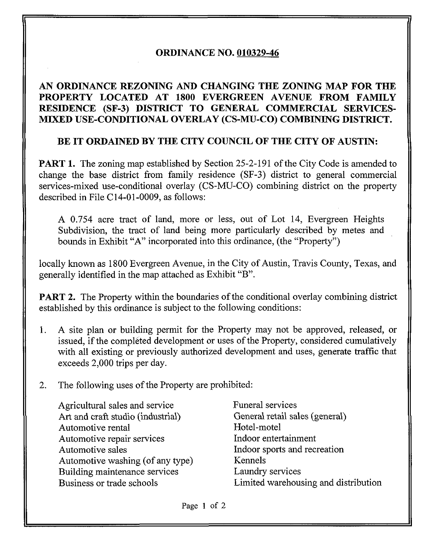## ORDINANCE NO. 010329-46

## AN ORDINANCE REZONING AND CHANGING THE ZONING MAP FOR THE PROPERTY LOCATED AT 1800 EVERGREEN AVENUE FROM FAMILY RESIDENCE (SF-3) DISTRICT TO GENERAL COMMERCIAL SERVICES-MIXED USE-CONDITIONAL OVERLAY (CS-MU-CO) COMBINING DISTRICT.

## BE IT ORDAINED BY THE CITY COUNCIL OF THE CITY OF AUSTIN:

PART 1. The zoning map established by Section 25-2-191 of the City Code is amended to change the base district from family residence (SF-3) district to general commercial services-mixed use-conditional overlay (CS-MU-CO) combining district on the property described in File C14-01-0009, as follows:

A 0.754 acre tract of land, more or less, out of Lot 14, Evergreen Heights Subdivision, the tract of land being more particularly described by metes and bounds in Exhibit "A" incorporated into this ordinance, (the "Property")

locally known as 1800 Evergreen Avenue, in the City of Austin, Travis County, Texas, and generally identified in the map attached as Exhibit "B".

**PART 2.** The Property within the boundaries of the conditional overlay combining district established by this ordinance is subject to the following conditions:

- 1. A site plan or building permit for the Property may not be approved, released, or issued, if the completed development or uses of the Property, considered cumulatively with all existing or previously authorized development and uses, generate traffic that exceeds 2,000 trips per day.
- 2. The following uses of the Property are prohibited:

Agricultural sales and service Funeral services Art and craft studio (industrial) General retail sales (general) Automotive rental Hotel-motel Automotive repair services Indoor entertainment Automotive sales **Indoor** sports and recreation Automotive washing (of any type) Kennels Building maintenance services Laundry services

Business or trade schools Limited warehousing and distribution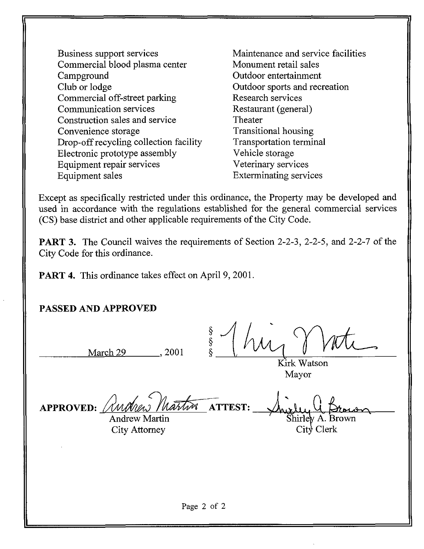- Business support services Commercial blood plasma center Campground Club or lodge Commercial off-street parking Communication services Construction sales and service Convenience storage Drop-off recycling collection facility Electronic prototype assembly Equipment repair services Equipment sales
- Maintenance and service facilities Monument retail sales Outdoor entertainment Outdoor sports and recreation Research services Restaurant (general) Theater Transitional housing Transportation terminal Vehicle storage Veterinary services Exterminating services

Except as specifically restricted under this ordinance, the Property may be developed and used in accordance with the regulations established for the general commercial services (CS) base district and other applicable requirements of the City Code.

PART 3. The Council waives the requirements of Section 2-2-3, 2-2-5, and 2-2-7 of the City Code for this ordinance.

PART 4. This ordinance takes effect on April 9, 2001.

March 29 , 2001

PASSED AND APPROVED

S (huy Mati

Kirk Watson Mayor

| APPROVED: Andrew Martin ATTEST: |  | Drown            |
|---------------------------------|--|------------------|
| <b>Andrew Martin</b>            |  | Shirley A. Brown |
| <b>City Attorney</b>            |  | City Clerk       |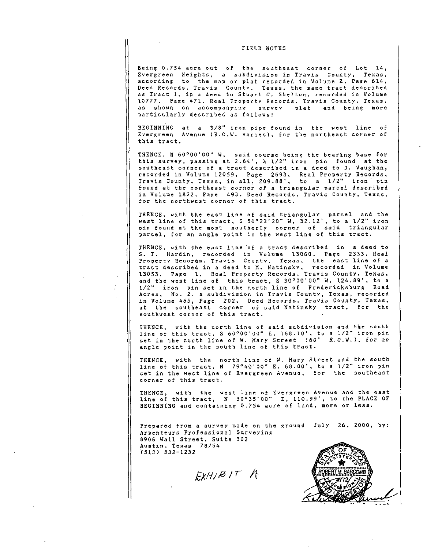## FIELD NOTES

Being 0.754 acre out of the southeast corner of Lot 14, Evergreen Heights, 3 subdivision in Travis County, Texas, according to the map or plat recorded in Volume Z, Page 614, Deed Records, Travis County. Texas, the same tract described as Tract 1, in a deed to Stuart C. Shelton, recorded in Volume 10777, Page 471. Real Property Records. Travis County. Texas, as shown on accompanying survey plat and being more particularly described as follows:

BEGINNING at a 3/8" iron pipe found in the west line of Evergreen Avenue (R.O.W. varies), for the northeast corner of this tract.

THENCE, N 60°00'00" W, said course being the bearing base for this survey, passing at 2.64', a 1/2" iron pin found at the southeast corner of a tract described in a deed to J. Vaughan, recorded in Volume 12059, Page 2693, Real Property Records, Travis County, Texas, in all, 209.88', to a 1/2" iron pin found at the northeast corner of a triangular parcel described in Volume 1822. Page 493, Deed Records, Travis County, Texas, for the northwest corner of this tract.

THENCE, with the east line of said triangular parcel and the west line of this tract, S 50°23'20" W, 32.12', to a 1/2" iron pin found at the most southerly corner of said triangular parcel, for an angle point in the west line of this tract.

THENCE, with the east line 'of a tract described in a deed to S. T. Hardin, recorded in Volume 13060, Page 2333. Real Property Records, Travis Countv. Texas, the east line of a tract described in a deed to M. Natinskv, recorded in Volume 13053, Page 1, Real Property Records, Travis County, Texas, and the west line of this tract, S 30°00'00" W, 124.89', to a 1/2" iron pin set in the north line of Fredericksburg Road Acres, No. 2, a subdivision in Travis County, Texas, recorded in Volume 465, Page 202, Deed Records. Travis County, Texas, at the southeast corner of said Natinsky tract, for the southwest corner of this tract.

THENCE, with the north line of said subdivision and the south line of this tract, S 60°00'00" E. 168.10', to a 1/2" iron pin set in the north line of W. Mary Street (60' R.O.W.), for an angle point in the south line of this tract.

THENCE, with the north line of W, Mary Street and the south line of this tract, N 79°40'OQ" E, 68.00', to a 1/2" iron pin set in the west line of Evergreen Avenue, for the southeast corner of this tract.

THENCE, with the west line of Evergreen Avenue and the east line of this tract, N 30°35'00" E, 110.99', to the PLACE OF BEGINNING and containing 0.754 acre of land, more or less.

Prepared from a survey made on the ground July 26, 2000, by: Arpenteurs Professional Surveyinx 8906 Wall Street, Suite 302 Austin, Texas 78754 (512) 832-1232

 $EXH/BIT$  /T

 $\frac{1}{k}$